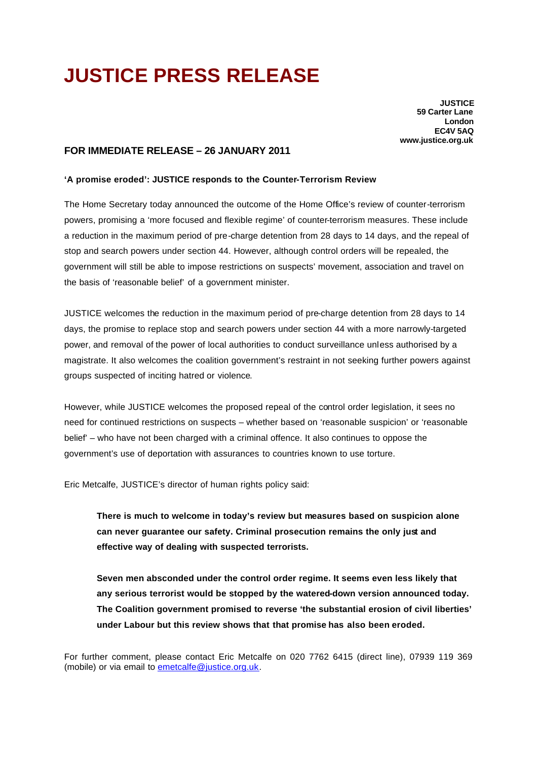## **JUSTICE PRESS RELEASE**

**JUSTICE 59 Carter Lane London EC4V 5AQ www.justice.org.uk**

## **FOR IMMEDIATE RELEASE – 26 JANUARY 2011**

## **'A promise eroded': JUSTICE responds to the Counter-Terrorism Review**

The Home Secretary today announced the outcome of the Home Office's review of counter-terrorism powers, promising a 'more focused and flexible regime' of counter-terrorism measures. These include a reduction in the maximum period of pre-charge detention from 28 days to 14 days, and the repeal of stop and search powers under section 44. However, although control orders will be repealed, the government will still be able to impose restrictions on suspects' movement, association and travel on the basis of 'reasonable belief' of a government minister.

JUSTICE welcomes the reduction in the maximum period of pre-charge detention from 28 days to 14 days, the promise to replace stop and search powers under section 44 with a more narrowly-targeted power, and removal of the power of local authorities to conduct surveillance unless authorised by a magistrate. It also welcomes the coalition government's restraint in not seeking further powers against groups suspected of inciting hatred or violence.

However, while JUSTICE welcomes the proposed repeal of the control order legislation, it sees no need for continued restrictions on suspects – whether based on 'reasonable suspicion' or 'reasonable belief' – who have not been charged with a criminal offence. It also continues to oppose the government's use of deportation with assurances to countries known to use torture.

Eric Metcalfe, JUSTICE's director of human rights policy said:

**There is much to welcome in today's review but measures based on suspicion alone can never guarantee our safety. Criminal prosecution remains the only just and effective way of dealing with suspected terrorists.**

**Seven men absconded under the control order regime. It seems even less likely that any serious terrorist would be stopped by the watered-down version announced today. The Coalition government promised to reverse 'the substantial erosion of civil liberties' under Labour but this review shows that that promise has also been eroded.** 

For further comment, please contact Eric Metcalfe on 020 7762 6415 (direct line), 07939 119 369 (mobile) or via email to emetcalfe@justice.org.uk.